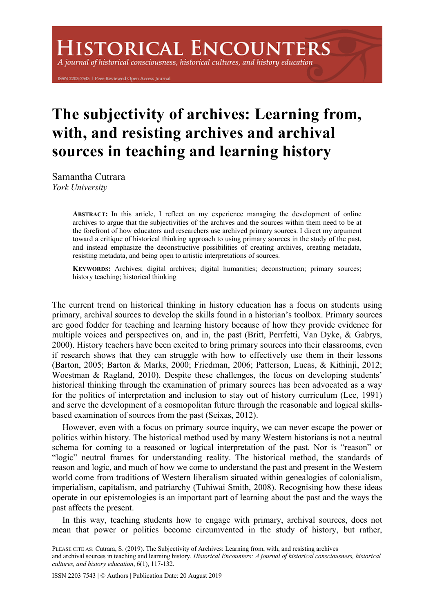# **ISTORICAL ENCOUNTERS**

A journal of historical consciousness, historical cultures, and history education

ISSN 2203-7543 | Peer-Reviewed Open Access Journal

## **The subjectivity of archives: Learning from, with, and resisting archives and archival sources in teaching and learning history**

Samantha Cutrara *York University*

> **ABSTRACT:** In this article, I reflect on my experience managing the development of online archives to argue that the subjectivities of the archives and the sources within them need to be at the forefront of how educators and researchers use archived primary sources. I direct my argument toward a critique of historical thinking approach to using primary sources in the study of the past, and instead emphasize the deconstructive possibilities of creating archives, creating metadata, resisting metadata, and being open to artistic interpretations of sources.

> **KEYWORDS:** Archives; digital archives; digital humanities; deconstruction; primary sources; history teaching; historical thinking

The current trend on historical thinking in history education has a focus on students using primary, archival sources to develop the skills found in a historian's toolbox. Primary sources are good fodder for teaching and learning history because of how they provide evidence for multiple voices and perspectives on, and in, the past (Britt, Perrfetti, Van Dyke, & Gabrys, 2000). History teachers have been excited to bring primary sources into their classrooms, even if research shows that they can struggle with how to effectively use them in their lessons (Barton, 2005; Barton & Marks, 2000; Friedman, 2006; Patterson, Lucas, & Kithinji, 2012; Woestman & Ragland, 2010). Despite these challenges, the focus on developing students' historical thinking through the examination of primary sources has been advocated as a way for the politics of interpretation and inclusion to stay out of history curriculum (Lee, 1991) and serve the development of a cosmopolitan future through the reasonable and logical skillsbased examination of sources from the past (Seixas, 2012).

However, even with a focus on primary source inquiry, we can never escape the power or politics within history. The historical method used by many Western historians is not a neutral schema for coming to a reasoned or logical interpretation of the past. Nor is "reason" or "logic" neutral frames for understanding reality. The historical method, the standards of reason and logic, and much of how we come to understand the past and present in the Western world come from traditions of Western liberalism situated within genealogies of colonialism, imperialism, capitalism, and patriarchy (Tuhiwai Smith, 2008). Recognising how these ideas operate in our epistemologies is an important part of learning about the past and the ways the past affects the present.

In this way, teaching students how to engage with primary, archival sources, does not mean that power or politics become circumvented in the study of history, but rather,

PLEASE CITE AS: Cutrara, S. (2019). The Subjectivity of Archives: Learning from, with, and resisting archives and archival sources in teaching and learning history. *Historical Encounters: A journal of historical consciousness, historical cultures, and history education*, 6(1), 117-132.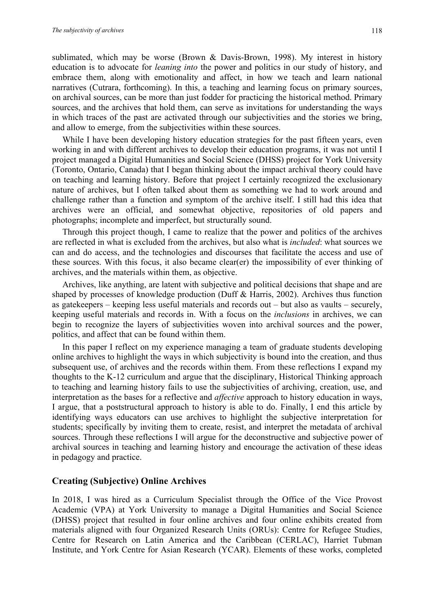sublimated, which may be worse (Brown & Davis-Brown, 1998). My interest in history education is to advocate for *leaning into* the power and politics in our study of history, and embrace them, along with emotionality and affect, in how we teach and learn national narratives (Cutrara, forthcoming). In this, a teaching and learning focus on primary sources, on archival sources, can be more than just fodder for practicing the historical method. Primary sources, and the archives that hold them, can serve as invitations for understanding the ways in which traces of the past are activated through our subjectivities and the stories we bring, and allow to emerge, from the subjectivities within these sources.

While I have been developing history education strategies for the past fifteen years, even working in and with different archives to develop their education programs, it was not until I project managed a Digital Humanities and Social Science (DHSS) project for York University (Toronto, Ontario, Canada) that I began thinking about the impact archival theory could have on teaching and learning history. Before that project I certainly recognized the exclusionary nature of archives, but I often talked about them as something we had to work around and challenge rather than a function and symptom of the archive itself. I still had this idea that archives were an official, and somewhat objective, repositories of old papers and photographs; incomplete and imperfect, but structurally sound.

Through this project though, I came to realize that the power and politics of the archives are reflected in what is excluded from the archives, but also what is *included*: what sources we can and do access, and the technologies and discourses that facilitate the access and use of these sources. With this focus, it also became clear(er) the impossibility of ever thinking of archives, and the materials within them, as objective.

Archives, like anything, are latent with subjective and political decisions that shape and are shaped by processes of knowledge production (Duff & Harris, 2002). Archives thus function as gatekeepers – keeping less useful materials and records out – but also as vaults – securely, keeping useful materials and records in. With a focus on the *inclusions* in archives, we can begin to recognize the layers of subjectivities woven into archival sources and the power, politics, and affect that can be found within them.

In this paper I reflect on my experience managing a team of graduate students developing online archives to highlight the ways in which subjectivity is bound into the creation, and thus subsequent use, of archives and the records within them. From these reflections I expand my thoughts to the K-12 curriculum and argue that the disciplinary, Historical Thinking approach to teaching and learning history fails to use the subjectivities of archiving, creation, use, and interpretation as the bases for a reflective and *affective* approach to history education in ways, I argue, that a poststructural approach to history is able to do. Finally, I end this article by identifying ways educators can use archives to highlight the subjective interpretation for students; specifically by inviting them to create, resist, and interpret the metadata of archival sources. Through these reflections I will argue for the deconstructive and subjective power of archival sources in teaching and learning history and encourage the activation of these ideas in pedagogy and practice.

#### **Creating (Subjective) Online Archives**

In 2018, I was hired as a Curriculum Specialist through the Office of the Vice Provost Academic (VPA) at York University to manage a Digital Humanities and Social Science (DHSS) project that resulted in four online archives and four online exhibits created from materials aligned with four Organized Research Units (ORUs): Centre for Refugee Studies, Centre for Research on Latin America and the Caribbean (CERLAC), Harriet Tubman Institute, and York Centre for Asian Research (YCAR). Elements of these works, completed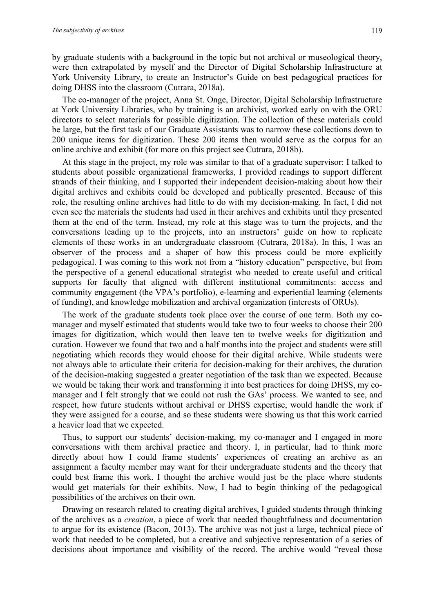by graduate students with a background in the topic but not archival or museological theory, were then extrapolated by myself and the Director of Digital Scholarship Infrastructure at York University Library, to create an Instructor's Guide on best pedagogical practices for doing DHSS into the classroom (Cutrara, 2018a).

The co-manager of the project, Anna St. Onge, Director, Digital Scholarship Infrastructure at York University Libraries, who by training is an archivist, worked early on with the ORU directors to select materials for possible digitization. The collection of these materials could be large, but the first task of our Graduate Assistants was to narrow these collections down to 200 unique items for digitization. These 200 items then would serve as the corpus for an online archive and exhibit (for more on this project see Cutrara, 2018b).

At this stage in the project, my role was similar to that of a graduate supervisor: I talked to students about possible organizational frameworks, I provided readings to support different strands of their thinking, and I supported their independent decision-making about how their digital archives and exhibits could be developed and publically presented. Because of this role, the resulting online archives had little to do with my decision-making. In fact, I did not even see the materials the students had used in their archives and exhibits until they presented them at the end of the term. Instead, my role at this stage was to turn the projects, and the conversations leading up to the projects, into an instructors' guide on how to replicate elements of these works in an undergraduate classroom (Cutrara, 2018a). In this, I was an observer of the process and a shaper of how this process could be more explicitly pedagogical. I was coming to this work not from a "history education" perspective, but from the perspective of a general educational strategist who needed to create useful and critical supports for faculty that aligned with different institutional commitments: access and community engagement (the VPA's portfolio), e-learning and experiential learning (elements of funding), and knowledge mobilization and archival organization (interests of ORUs).

The work of the graduate students took place over the course of one term. Both my comanager and myself estimated that students would take two to four weeks to choose their 200 images for digitization, which would then leave ten to twelve weeks for digitization and curation. However we found that two and a half months into the project and students were still negotiating which records they would choose for their digital archive. While students were not always able to articulate their criteria for decision-making for their archives, the duration of the decision-making suggested a greater negotiation of the task than we expected. Because we would be taking their work and transforming it into best practices for doing DHSS, my comanager and I felt strongly that we could not rush the GAs' process. We wanted to see, and respect, how future students without archival or DHSS expertise, would handle the work if they were assigned for a course, and so these students were showing us that this work carried a heavier load that we expected.

Thus, to support our students' decision-making, my co-manager and I engaged in more conversations with them archival practice and theory. I, in particular, had to think more directly about how I could frame students' experiences of creating an archive as an assignment a faculty member may want for their undergraduate students and the theory that could best frame this work. I thought the archive would just be the place where students would get materials for their exhibits. Now, I had to begin thinking of the pedagogical possibilities of the archives on their own.

Drawing on research related to creating digital archives, I guided students through thinking of the archives as a *creation*, a piece of work that needed thoughtfulness and documentation to argue for its existence (Bacon, 2013). The archive was not just a large, technical piece of work that needed to be completed, but a creative and subjective representation of a series of decisions about importance and visibility of the record. The archive would "reveal those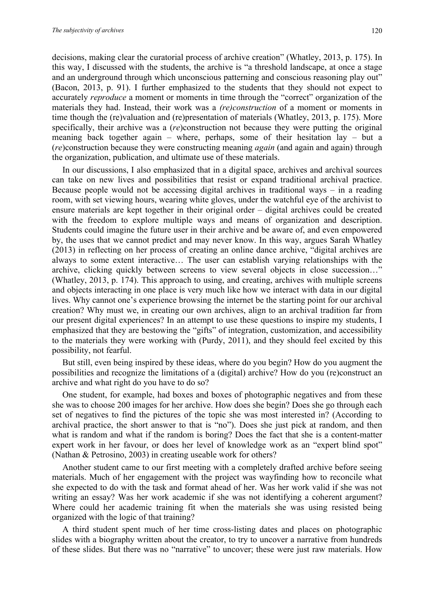decisions, making clear the curatorial process of archive creation" (Whatley, 2013, p. 175). In this way, I discussed with the students, the archive is "a threshold landscape, at once a stage and an underground through which unconscious patterning and conscious reasoning play out" (Bacon, 2013, p. 91). I further emphasized to the students that they should not expect to accurately *reproduce* a moment or moments in time through the "correct" organization of the materials they had. Instead, their work was a *(re)construction* of a moment or moments in time though the (re)valuation and (re)presentation of materials (Whatley, 2013, p. 175). More specifically, their archive was a (*re*)construction not because they were putting the original meaning back together again – where, perhaps, some of their hesitation lay – but a (*re*)construction because they were constructing meaning *again* (and again and again) through the organization, publication, and ultimate use of these materials.

In our discussions, I also emphasized that in a digital space, archives and archival sources can take on new lives and possibilities that resist or expand traditional archival practice. Because people would not be accessing digital archives in traditional ways – in a reading room, with set viewing hours, wearing white gloves, under the watchful eye of the archivist to ensure materials are kept together in their original order – digital archives could be created with the freedom to explore multiple ways and means of organization and description. Students could imagine the future user in their archive and be aware of, and even empowered by, the uses that we cannot predict and may never know. In this way, argues Sarah Whatley (2013) in reflecting on her process of creating an online dance archive, "digital archives are always to some extent interactive… The user can establish varying relationships with the archive, clicking quickly between screens to view several objects in close succession…" (Whatley, 2013, p. 174). This approach to using, and creating, archives with multiple screens and objects interacting in one place is very much like how we interact with data in our digital lives. Why cannot one's experience browsing the internet be the starting point for our archival creation? Why must we, in creating our own archives, align to an archival tradition far from our present digital experiences? In an attempt to use these questions to inspire my students, I emphasized that they are bestowing the "gifts" of integration, customization, and accessibility to the materials they were working with (Purdy, 2011), and they should feel excited by this possibility, not fearful.

But still, even being inspired by these ideas, where do you begin? How do you augment the possibilities and recognize the limitations of a (digital) archive? How do you (re)construct an archive and what right do you have to do so?

One student, for example, had boxes and boxes of photographic negatives and from these she was to choose 200 images for her archive. How does she begin? Does she go through each set of negatives to find the pictures of the topic she was most interested in? (According to archival practice, the short answer to that is "no"). Does she just pick at random, and then what is random and what if the random is boring? Does the fact that she is a content-matter expert work in her favour, or does her level of knowledge work as an "expert blind spot" (Nathan & Petrosino, 2003) in creating useable work for others?

Another student came to our first meeting with a completely drafted archive before seeing materials. Much of her engagement with the project was wayfinding how to reconcile what she expected to do with the task and format ahead of her. Was her work valid if she was not writing an essay? Was her work academic if she was not identifying a coherent argument? Where could her academic training fit when the materials she was using resisted being organized with the logic of that training?

A third student spent much of her time cross-listing dates and places on photographic slides with a biography written about the creator, to try to uncover a narrative from hundreds of these slides. But there was no "narrative" to uncover; these were just raw materials. How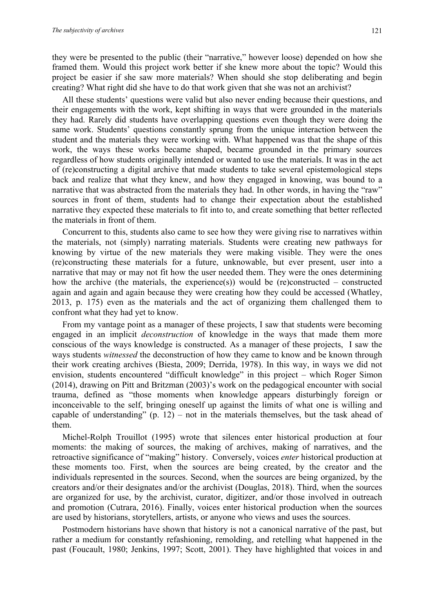they were be presented to the public (their "narrative," however loose) depended on how she framed them. Would this project work better if she knew more about the topic? Would this project be easier if she saw more materials? When should she stop deliberating and begin creating? What right did she have to do that work given that she was not an archivist?

All these students' questions were valid but also never ending because their questions, and their engagements with the work, kept shifting in ways that were grounded in the materials they had. Rarely did students have overlapping questions even though they were doing the same work. Students' questions constantly sprung from the unique interaction between the student and the materials they were working with. What happened was that the shape of this work, the ways these works became shaped, became grounded in the primary sources regardless of how students originally intended or wanted to use the materials. It was in the act of (re)constructing a digital archive that made students to take several epistemological steps back and realize that what they knew, and how they engaged in knowing, was bound to a narrative that was abstracted from the materials they had. In other words, in having the "raw" sources in front of them, students had to change their expectation about the established narrative they expected these materials to fit into to, and create something that better reflected the materials in front of them.

Concurrent to this, students also came to see how they were giving rise to narratives within the materials, not (simply) narrating materials. Students were creating new pathways for knowing by virtue of the new materials they were making visible. They were the ones (re)constructing these materials for a future, unknowable, but ever present, user into a narrative that may or may not fit how the user needed them. They were the ones determining how the archive (the materials, the experience(s)) would be (re)constructed – constructed again and again and again because they were creating how they could be accessed (Whatley, 2013, p. 175) even as the materials and the act of organizing them challenged them to confront what they had yet to know.

From my vantage point as a manager of these projects, I saw that students were becoming engaged in an implicit *deconstruction* of knowledge in the ways that made them more conscious of the ways knowledge is constructed. As a manager of these projects, I saw the ways students *witnessed* the deconstruction of how they came to know and be known through their work creating archives (Biesta, 2009; Derrida, 1978). In this way, in ways we did not envision, students encountered "difficult knowledge" in this project – which Roger Simon (2014), drawing on Pitt and Britzman (2003)'s work on the pedagogical encounter with social trauma, defined as "those moments when knowledge appears disturbingly foreign or inconceivable to the self, bringing oneself up against the limits of what one is willing and capable of understanding"  $(p. 12)$  – not in the materials themselves, but the task ahead of them.

Michel-Rolph Trouillot (1995) wrote that silences enter historical production at four moments: the making of sources, the making of archives, making of narratives, and the retroactive significance of "making" history. Conversely, voices *enter* historical production at these moments too. First, when the sources are being created, by the creator and the individuals represented in the sources. Second, when the sources are being organized, by the creators and/or their designates and/or the archivist (Douglas, 2018). Third, when the sources are organized for use, by the archivist, curator, digitizer, and/or those involved in outreach and promotion (Cutrara, 2016). Finally, voices enter historical production when the sources are used by historians, storytellers, artists, or anyone who views and uses the sources.

Postmodern historians have shown that history is not a canonical narrative of the past, but rather a medium for constantly refashioning, remolding, and retelling what happened in the past (Foucault, 1980; Jenkins, 1997; Scott, 2001). They have highlighted that voices in and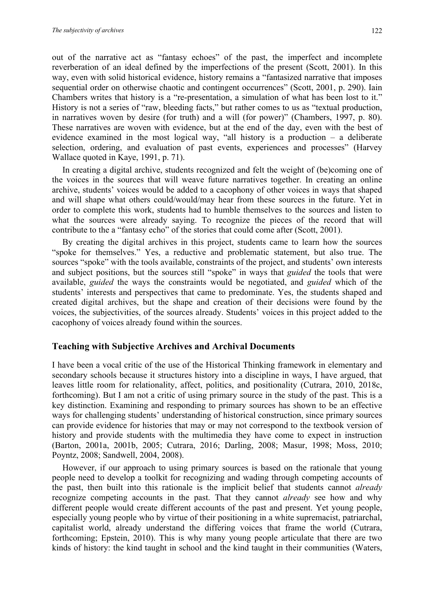out of the narrative act as "fantasy echoes" of the past, the imperfect and incomplete reverberation of an ideal defined by the imperfections of the present (Scott, 2001). In this way, even with solid historical evidence, history remains a "fantasized narrative that imposes sequential order on otherwise chaotic and contingent occurrences" (Scott, 2001, p. 290). Iain Chambers writes that history is a "re-presentation, a simulation of what has been lost to it." History is not a series of "raw, bleeding facts," but rather comes to us as "textual production, in narratives woven by desire (for truth) and a will (for power)" (Chambers, 1997, p. 80). These narratives are woven with evidence, but at the end of the day, even with the best of evidence examined in the most logical way, "all history is a production – a deliberate selection, ordering, and evaluation of past events, experiences and processes" (Harvey Wallace quoted in Kaye, 1991, p. 71).

In creating a digital archive, students recognized and felt the weight of (be)coming one of the voices in the sources that will weave future narratives together. In creating an online archive, students' voices would be added to a cacophony of other voices in ways that shaped and will shape what others could/would/may hear from these sources in the future. Yet in order to complete this work, students had to humble themselves to the sources and listen to what the sources were already saying. To recognize the pieces of the record that will contribute to the a "fantasy echo" of the stories that could come after (Scott, 2001).

By creating the digital archives in this project, students came to learn how the sources "spoke for themselves." Yes, a reductive and problematic statement, but also true. The sources "spoke" with the tools available, constraints of the project, and students' own interests and subject positions, but the sources still "spoke" in ways that *guided* the tools that were available, *guided* the ways the constraints would be negotiated, and *guided* which of the students' interests and perspectives that came to predominate. Yes, the students shaped and created digital archives, but the shape and creation of their decisions were found by the voices, the subjectivities, of the sources already. Students' voices in this project added to the cacophony of voices already found within the sources.

#### **Teaching with Subjective Archives and Archival Documents**

I have been a vocal critic of the use of the Historical Thinking framework in elementary and secondary schools because it structures history into a discipline in ways, I have argued, that leaves little room for relationality, affect, politics, and positionality (Cutrara, 2010, 2018c, forthcoming). But I am not a critic of using primary source in the study of the past. This is a key distinction. Examining and responding to primary sources has shown to be an effective ways for challenging students' understanding of historical construction, since primary sources can provide evidence for histories that may or may not correspond to the textbook version of history and provide students with the multimedia they have come to expect in instruction (Barton, 2001a, 2001b, 2005; Cutrara, 2016; Darling, 2008; Masur, 1998; Moss, 2010; Poyntz, 2008; Sandwell, 2004, 2008).

However, if our approach to using primary sources is based on the rationale that young people need to develop a toolkit for recognizing and wading through competing accounts of the past, then built into this rationale is the implicit belief that students cannot *already* recognize competing accounts in the past. That they cannot *already* see how and why different people would create different accounts of the past and present. Yet young people, especially young people who by virtue of their positioning in a white supremacist, patriarchal, capitalist world, already understand the differing voices that frame the world (Cutrara, forthcoming; Epstein, 2010). This is why many young people articulate that there are two kinds of history: the kind taught in school and the kind taught in their communities (Waters,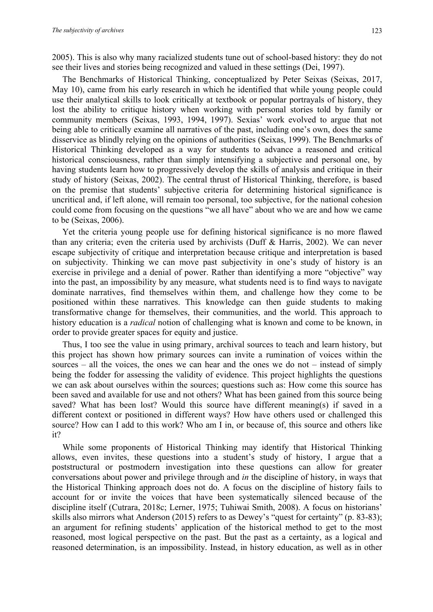2005). This is also why many racialized students tune out of school-based history: they do not see their lives and stories being recognized and valued in these settings (Dei, 1997).

The Benchmarks of Historical Thinking, conceptualized by Peter Seixas (Seixas, 2017, May 10), came from his early research in which he identified that while young people could use their analytical skills to look critically at textbook or popular portrayals of history, they lost the ability to critique history when working with personal stories told by family or community members (Seixas, 1993, 1994, 1997). Sexias' work evolved to argue that not being able to critically examine all narratives of the past, including one's own, does the same disservice as blindly relying on the opinions of authorities (Seixas, 1999). The Benchmarks of Historical Thinking developed as a way for students to advance a reasoned and critical historical consciousness, rather than simply intensifying a subjective and personal one, by having students learn how to progressively develop the skills of analysis and critique in their study of history (Seixas, 2002). The central thrust of Historical Thinking, therefore, is based on the premise that students' subjective criteria for determining historical significance is uncritical and, if left alone, will remain too personal, too subjective, for the national cohesion could come from focusing on the questions "we all have" about who we are and how we came to be (Seixas, 2006).

Yet the criteria young people use for defining historical significance is no more flawed than any criteria; even the criteria used by archivists (Duff & Harris, 2002). We can never escape subjectivity of critique and interpretation because critique and interpretation is based on subjectivity. Thinking we can move past subjectivity in one's study of history is an exercise in privilege and a denial of power. Rather than identifying a more "objective" way into the past, an impossibility by any measure, what students need is to find ways to navigate dominate narratives, find themselves within them, and challenge how they come to be positioned within these narratives. This knowledge can then guide students to making transformative change for themselves, their communities, and the world. This approach to history education is a *radical* notion of challenging what is known and come to be known, in order to provide greater spaces for equity and justice.

Thus, I too see the value in using primary, archival sources to teach and learn history, but this project has shown how primary sources can invite a rumination of voices within the sources – all the voices, the ones we can hear and the ones we do not – instead of simply being the fodder for assessing the validity of evidence. This project highlights the questions we can ask about ourselves within the sources; questions such as: How come this source has been saved and available for use and not others? What has been gained from this source being saved? What has been lost? Would this source have different meaning(s) if saved in a different context or positioned in different ways? How have others used or challenged this source? How can I add to this work? Who am I in, or because of, this source and others like it?

While some proponents of Historical Thinking may identify that Historical Thinking allows, even invites, these questions into a student's study of history, I argue that a poststructural or postmodern investigation into these questions can allow for greater conversations about power and privilege through and *in* the discipline of history, in ways that the Historical Thinking approach does not do. A focus on the discipline of history fails to account for or invite the voices that have been systematically silenced because of the discipline itself (Cutrara, 2018c; Lerner, 1975; Tuhiwai Smith, 2008). A focus on historians' skills also mirrors what Anderson (2015) refers to as Dewey's "quest for certainty" (p. 83-83); an argument for refining students' application of the historical method to get to the most reasoned, most logical perspective on the past. But the past as a certainty, as a logical and reasoned determination, is an impossibility. Instead, in history education, as well as in other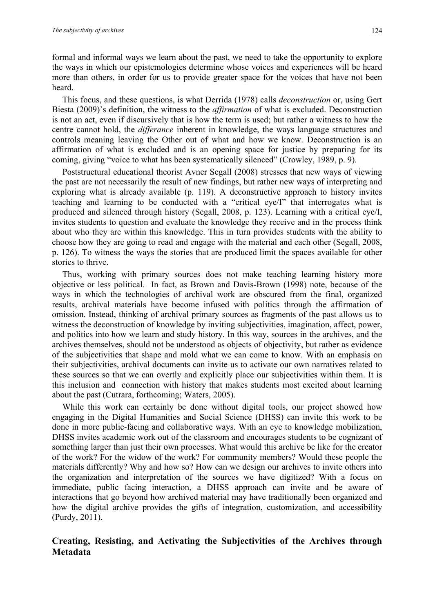formal and informal ways we learn about the past, we need to take the opportunity to explore the ways in which our epistemologies determine whose voices and experiences will be heard more than others, in order for us to provide greater space for the voices that have not been heard.

This focus, and these questions, is what Derrida (1978) calls *deconstruction* or, using Gert Biesta (2009)'s definition, the witness to the *affirmation* of what is excluded. Deconstruction is not an act, even if discursively that is how the term is used; but rather a witness to how the centre cannot hold, the *differance* inherent in knowledge, the ways language structures and controls meaning leaving the Other out of what and how we know. Deconstruction is an affirmation of what is excluded and is an opening space for justice by preparing for its coming, giving "voice to what has been systematically silenced" (Crowley, 1989, p. 9).

Poststructural educational theorist Avner Segall (2008) stresses that new ways of viewing the past are not necessarily the result of new findings, but rather new ways of interpreting and exploring what is already available (p. 119). A deconstructive approach to history invites teaching and learning to be conducted with a "critical eye/I" that interrogates what is produced and silenced through history (Segall, 2008, p. 123). Learning with a critical eye/I, invites students to question and evaluate the knowledge they receive and in the process think about who they are within this knowledge. This in turn provides students with the ability to choose how they are going to read and engage with the material and each other (Segall, 2008, p. 126). To witness the ways the stories that are produced limit the spaces available for other stories to thrive.

Thus, working with primary sources does not make teaching learning history more objective or less political. In fact, as Brown and Davis-Brown (1998) note, because of the ways in which the technologies of archival work are obscured from the final, organized results, archival materials have become infused with politics through the affirmation of omission. Instead, thinking of archival primary sources as fragments of the past allows us to witness the deconstruction of knowledge by inviting subjectivities, imagination, affect, power, and politics into how we learn and study history. In this way, sources in the archives, and the archives themselves, should not be understood as objects of objectivity, but rather as evidence of the subjectivities that shape and mold what we can come to know. With an emphasis on their subjectivities, archival documents can invite us to activate our own narratives related to these sources so that we can overtly and explicitly place our subjectivities within them. It is this inclusion and connection with history that makes students most excited about learning about the past (Cutrara, forthcoming; Waters, 2005).

While this work can certainly be done without digital tools, our project showed how engaging in the Digital Humanities and Social Science (DHSS) can invite this work to be done in more public-facing and collaborative ways. With an eye to knowledge mobilization, DHSS invites academic work out of the classroom and encourages students to be cognizant of something larger than just their own processes. What would this archive be like for the creator of the work? For the widow of the work? For community members? Would these people the materials differently? Why and how so? How can we design our archives to invite others into the organization and interpretation of the sources we have digitized? With a focus on immediate, public facing interaction, a DHSS approach can invite and be aware of interactions that go beyond how archived material may have traditionally been organized and how the digital archive provides the gifts of integration, customization, and accessibility (Purdy, 2011).

#### **Creating, Resisting, and Activating the Subjectivities of the Archives through Metadata**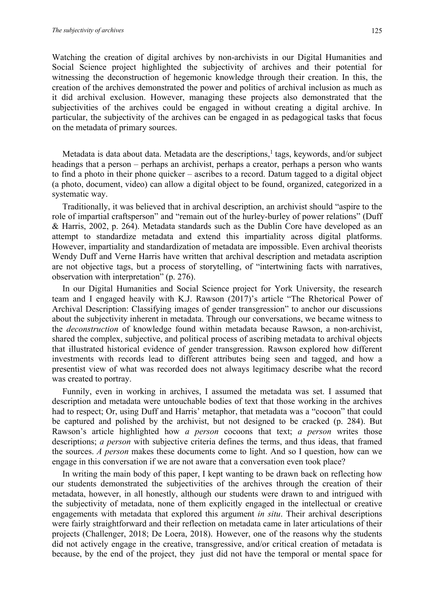Watching the creation of digital archives by non-archivists in our Digital Humanities and Social Science project highlighted the subjectivity of archives and their potential for witnessing the deconstruction of hegemonic knowledge through their creation. In this, the creation of the archives demonstrated the power and politics of archival inclusion as much as it did archival exclusion. However, managing these projects also demonstrated that the subjectivities of the archives could be engaged in without creating a digital archive. In particular, the subjectivity of the archives can be engaged in as pedagogical tasks that focus on the metadata of primary sources.

Metadata is data about data. Metadata are the descriptions,<sup>1</sup> tags, keywords, and/or subject headings that a person – perhaps an archivist, perhaps a creator, perhaps a person who wants to find a photo in their phone quicker – ascribes to a record. Datum tagged to a digital object (a photo, document, video) can allow a digital object to be found, organized, categorized in a systematic way.

Traditionally, it was believed that in archival description, an archivist should "aspire to the role of impartial craftsperson" and "remain out of the hurley-burley of power relations" (Duff & Harris, 2002, p. 264). Metadata standards such as the Dublin Core have developed as an attempt to standardize metadata and extend this impartiality across digital platforms. However, impartiality and standardization of metadata are impossible. Even archival theorists Wendy Duff and Verne Harris have written that archival description and metadata ascription are not objective tags, but a process of storytelling, of "intertwining facts with narratives, observation with interpretation" (p. 276).

In our Digital Humanities and Social Science project for York University, the research team and I engaged heavily with K.J. Rawson (2017)'s article "The Rhetorical Power of Archival Description: Classifying images of gender transgression" to anchor our discussions about the subjectivity inherent in metadata. Through our conversations, we became witness to the *deconstruction* of knowledge found within metadata because Rawson, a non-archivist, shared the complex, subjective, and political process of ascribing metadata to archival objects that illustrated historical evidence of gender transgression. Rawson explored how different investments with records lead to different attributes being seen and tagged, and how a presentist view of what was recorded does not always legitimacy describe what the record was created to portray.

Funnily, even in working in archives, I assumed the metadata was set. I assumed that description and metadata were untouchable bodies of text that those working in the archives had to respect; Or, using Duff and Harris' metaphor, that metadata was a "cocoon" that could be captured and polished by the archivist, but not designed to be cracked (p. 284). But Rawson's article highlighted how *a person* cocoons that text; *a person* writes those descriptions; *a person* with subjective criteria defines the terms, and thus ideas, that framed the sources. *A person* makes these documents come to light. And so I question, how can we engage in this conversation if we are not aware that a conversation even took place?

In writing the main body of this paper, I kept wanting to be drawn back on reflecting how our students demonstrated the subjectivities of the archives through the creation of their metadata, however, in all honestly, although our students were drawn to and intrigued with the subjectivity of metadata, none of them explicitly engaged in the intellectual or creative engagements with metadata that explored this argument *in situ*. Their archival descriptions were fairly straightforward and their reflection on metadata came in later articulations of their projects (Challenger, 2018; De Loera, 2018)*.* However, one of the reasons why the students did not actively engage in the creative, transgressive, and/or critical creation of metadata is because, by the end of the project, they just did not have the temporal or mental space for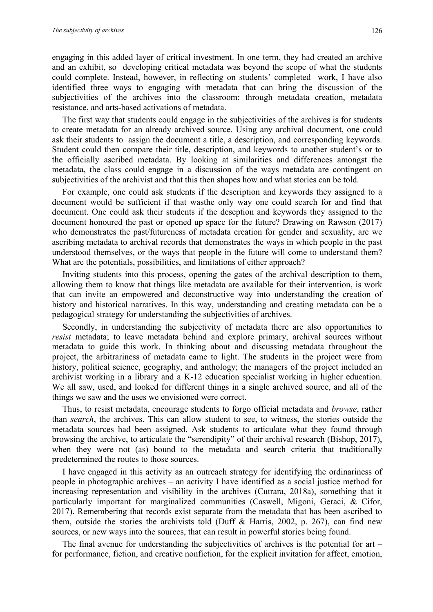engaging in this added layer of critical investment. In one term, they had created an archive and an exhibit, so developing critical metadata was beyond the scope of what the students could complete. Instead, however, in reflecting on students' completed work, I have also identified three ways to engaging with metadata that can bring the discussion of the subjectivities of the archives into the classroom: through metadata creation, metadata resistance, and arts-based activations of metadata.

The first way that students could engage in the subjectivities of the archives is for students to create metadata for an already archived source. Using any archival document, one could ask their students to assign the document a title, a description, and corresponding keywords. Student could then compare their title, description, and keywords to another student's or to the officially ascribed metadata. By looking at similarities and differences amongst the metadata, the class could engage in a discussion of the ways metadata are contingent on subjectivities of the archivist and that this then shapes how and what stories can be told.

For example, one could ask students if the description and keywords they assigned to a document would be sufficient if that wasthe only way one could search for and find that document. One could ask their students if the descption and keywords they assigned to the document honoured the past or opened up space for the future? Drawing on Rawson (2017) who demonstrates the past/futureness of metadata creation for gender and sexuality, are we ascribing metadata to archival records that demonstrates the ways in which people in the past understood themselves, or the ways that people in the future will come to understand them? What are the potentials, possibilities, and limitations of either approach?

Inviting students into this process, opening the gates of the archival description to them, allowing them to know that things like metadata are available for their intervention, is work that can invite an empowered and deconstructive way into understanding the creation of history and historical narratives. In this way, understanding and creating metadata can be a pedagogical strategy for understanding the subjectivities of archives.

Secondly, in understanding the subjectivity of metadata there are also opportunities to *resist* metadata; to leave metadata behind and explore primary, archival sources without metadata to guide this work. In thinking about and discussing metadata throughout the project, the arbitrariness of metadata came to light. The students in the project were from history, political science, geography, and anthology; the managers of the project included an archivist working in a library and a K-12 education specialist working in higher education. We all saw, used, and looked for different things in a single archived source, and all of the things we saw and the uses we envisioned were correct.

Thus, to resist metadata, encourage students to forgo official metadata and *browse*, rather than *search*, the archives. This can allow student to see, to witness, the stories outside the metadata sources had been assigned. Ask students to articulate what they found through browsing the archive, to articulate the "serendipity" of their archival research (Bishop, 2017), when they were not (as) bound to the metadata and search criteria that traditionally predetermined the routes to those sources.

I have engaged in this activity as an outreach strategy for identifying the ordinariness of people in photographic archives – an activity I have identified as a social justice method for increasing representation and visibility in the archives (Cutrara, 2018a), something that it particularly important for marginalized communities (Caswell, Migoni, Geraci, & Cifor, 2017). Remembering that records exist separate from the metadata that has been ascribed to them, outside the stories the archivists told (Duff & Harris, 2002, p. 267), can find new sources, or new ways into the sources, that can result in powerful stories being found.

The final avenue for understanding the subjectivities of archives is the potential for art – for performance, fiction, and creative nonfiction, for the explicit invitation for affect, emotion,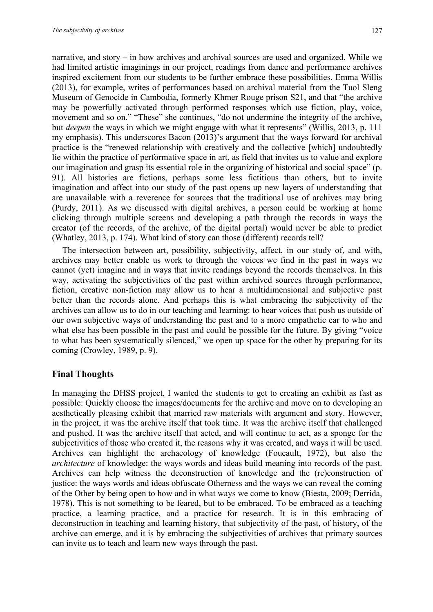narrative, and story – in how archives and archival sources are used and organized. While we had limited artistic imaginings in our project, readings from dance and performance archives inspired excitement from our students to be further embrace these possibilities. Emma Willis (2013), for example, writes of performances based on archival material from the Tuol Sleng Museum of Genocide in Cambodia, formerly Khmer Rouge prison S21, and that "the archive may be powerfully activated through performed responses which use fiction, play, voice, movement and so on." "These" she continues, "do not undermine the integrity of the archive, but *deepen* the ways in which we might engage with what it represents" (Willis, 2013, p. 111 my emphasis). This underscores Bacon (2013)'s argument that the ways forward for archival practice is the "renewed relationship with creatively and the collective [which] undoubtedly lie within the practice of performative space in art, as field that invites us to value and explore our imagination and grasp its essential role in the organizing of historical and social space" (p. 91). All histories are fictions, perhaps some less fictitious than others, but to invite imagination and affect into our study of the past opens up new layers of understanding that are unavailable with a reverence for sources that the traditional use of archives may bring (Purdy, 2011). As we discussed with digital archives, a person could be working at home clicking through multiple screens and developing a path through the records in ways the creator (of the records, of the archive, of the digital portal) would never be able to predict (Whatley, 2013, p. 174). What kind of story can those (different) records tell?

The intersection between art, possibility, subjectivity, affect, in our study of, and with, archives may better enable us work to through the voices we find in the past in ways we cannot (yet) imagine and in ways that invite readings beyond the records themselves. In this way, activating the subjectivities of the past within archived sources through performance, fiction, creative non-fiction may allow us to hear a multidimensional and subjective past better than the records alone. And perhaps this is what embracing the subjectivity of the archives can allow us to do in our teaching and learning: to hear voices that push us outside of our own subjective ways of understanding the past and to a more empathetic ear to who and what else has been possible in the past and could be possible for the future. By giving "voice to what has been systematically silenced," we open up space for the other by preparing for its coming (Crowley, 1989, p. 9).

#### **Final Thoughts**

In managing the DHSS project, I wanted the students to get to creating an exhibit as fast as possible: Quickly choose the images/documents for the archive and move on to developing an aesthetically pleasing exhibit that married raw materials with argument and story. However, in the project, it was the archive itself that took time. It was the archive itself that challenged and pushed. It was the archive itself that acted, and will continue to act, as a sponge for the subjectivities of those who created it, the reasons why it was created, and ways it will be used. Archives can highlight the archaeology of knowledge (Foucault, 1972), but also the *architecture* of knowledge: the ways words and ideas build meaning into records of the past. Archives can help witness the deconstruction of knowledge and the (re)construction of justice: the ways words and ideas obfuscate Otherness and the ways we can reveal the coming of the Other by being open to how and in what ways we come to know (Biesta, 2009; Derrida, 1978). This is not something to be feared, but to be embraced. To be embraced as a teaching practice, a learning practice, and a practice for research. It is in this embracing of deconstruction in teaching and learning history, that subjectivity of the past, of history, of the archive can emerge, and it is by embracing the subjectivities of archives that primary sources can invite us to teach and learn new ways through the past.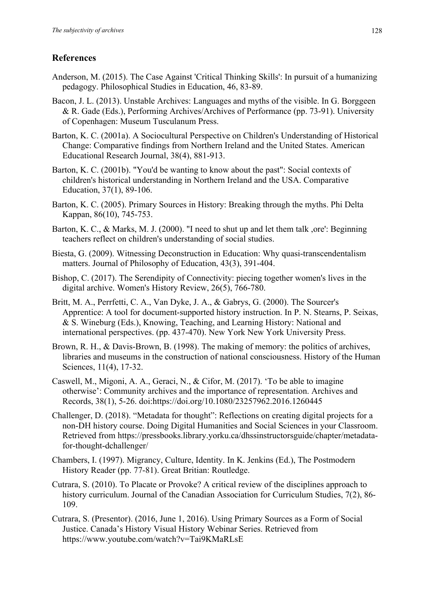### **References**

- Anderson, M. (2015). The Case Against 'Critical Thinking Skills': In pursuit of a humanizing pedagogy. Philosophical Studies in Education, 46, 83-89.
- Bacon, J. L. (2013). Unstable Archives: Languages and myths of the visible. In G. Borggeen & R. Gade (Eds.), Performing Archives/Archives of Performance (pp. 73-91). University of Copenhagen: Museum Tusculanum Press.
- Barton, K. C. (2001a). A Sociocultural Perspective on Children's Understanding of Historical Change: Comparative findings from Northern Ireland and the United States. American Educational Research Journal, 38(4), 881-913.
- Barton, K. C. (2001b). "You'd be wanting to know about the past": Social contexts of children's historical understanding in Northern Ireland and the USA. Comparative Education, 37(1), 89-106.
- Barton, K. C. (2005). Primary Sources in History: Breaking through the myths. Phi Delta Kappan, 86(10), 745-753.
- Barton, K. C., & Marks, M. J. (2000). "I need to shut up and let them talk, ore': Beginning teachers reflect on children's understanding of social studies.
- Biesta, G. (2009). Witnessing Deconstruction in Education: Why quasi-transcendentalism matters. Journal of Philosophy of Education, 43(3), 391-404.
- Bishop, C. (2017). The Serendipity of Connectivity: piecing together women's lives in the digital archive. Women's History Review, 26(5), 766-780.
- Britt, M. A., Perrfetti, C. A., Van Dyke, J. A., & Gabrys, G. (2000). The Sourcer's Apprentice: A tool for document-supported history instruction. In P. N. Stearns, P. Seixas, & S. Wineburg (Eds.), Knowing, Teaching, and Learning History: National and international perspectives. (pp. 437-470). New York New York University Press.
- Brown, R. H., & Davis-Brown, B. (1998). The making of memory: the politics of archives, libraries and museums in the construction of national consciousness. History of the Human Sciences, 11(4), 17-32.
- Caswell, M., Migoni, A. A., Geraci, N., & Cifor, M. (2017). 'To be able to imagine otherwise': Community archives and the importance of representation. Archives and Records, 38(1), 5-26. doi:https://doi.org/10.1080/23257962.2016.1260445
- Challenger, D. (2018). "Metadata for thought": Reflections on creating digital projects for a non-DH history course. Doing Digital Humanities and Social Sciences in your Classroom. Retrieved from https://pressbooks.library.yorku.ca/dhssinstructorsguide/chapter/metadatafor-thought-dchallenger/
- Chambers, I. (1997). Migrancy, Culture, Identity. In K. Jenkins (Ed.), The Postmodern History Reader (pp. 77-81). Great Britian: Routledge.
- Cutrara, S. (2010). To Placate or Provoke? A critical review of the disciplines approach to history curriculum. Journal of the Canadian Association for Curriculum Studies, 7(2), 86- 109.
- Cutrara, S. (Presentor). (2016, June 1, 2016). Using Primary Sources as a Form of Social Justice. Canada's History Visual History Webinar Series. Retrieved from https://www.youtube.com/watch?v=Tai9KMaRLsE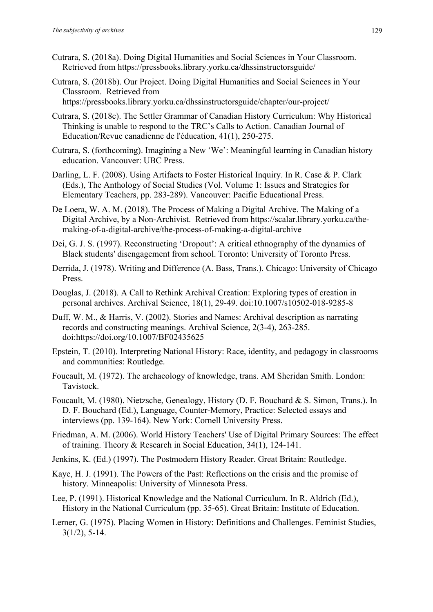- Cutrara, S. (2018a). Doing Digital Humanities and Social Sciences in Your Classroom. Retrieved from https://pressbooks.library.yorku.ca/dhssinstructorsguide/
- Cutrara, S. (2018b). Our Project. Doing Digital Humanities and Social Sciences in Your Classroom. Retrieved from https://pressbooks.library.yorku.ca/dhssinstructorsguide/chapter/our-project/
- Cutrara, S. (2018c). The Settler Grammar of Canadian History Curriculum: Why Historical Thinking is unable to respond to the TRC's Calls to Action. Canadian Journal of Education/Revue canadienne de l'éducation, 41(1), 250-275.
- Cutrara, S. (forthcoming). Imagining a New 'We': Meaningful learning in Canadian history education. Vancouver: UBC Press.
- Darling, L. F. (2008). Using Artifacts to Foster Historical Inquiry. In R. Case & P. Clark (Eds.), The Anthology of Social Studies (Vol. Volume 1: Issues and Strategies for Elementary Teachers, pp. 283-289). Vancouver: Pacific Educational Press.
- De Loera, W. A. M. (2018). The Process of Making a Digital Archive. The Making of a Digital Archive, by a Non-Archivist. Retrieved from https://scalar.library.yorku.ca/themaking-of-a-digital-archive/the-process-of-making-a-digital-archive
- Dei, G. J. S. (1997). Reconstructing 'Dropout': A critical ethnography of the dynamics of Black students' disengagement from school. Toronto: University of Toronto Press.
- Derrida, J. (1978). Writing and Difference (A. Bass, Trans.). Chicago: University of Chicago Press.
- Douglas, J. (2018). A Call to Rethink Archival Creation: Exploring types of creation in personal archives. Archival Science, 18(1), 29-49. doi:10.1007/s10502-018-9285-8
- Duff, W. M., & Harris, V. (2002). Stories and Names: Archival description as narrating records and constructing meanings. Archival Science, 2(3-4), 263-285. doi:https://doi.org/10.1007/BF02435625
- Epstein, T. (2010). Interpreting National History: Race, identity, and pedagogy in classrooms and communities: Routledge.
- Foucault, M. (1972). The archaeology of knowledge, trans. AM Sheridan Smith. London: Tavistock.
- Foucault, M. (1980). Nietzsche, Genealogy, History (D. F. Bouchard & S. Simon, Trans.). In D. F. Bouchard (Ed.), Language, Counter-Memory, Practice: Selected essays and interviews (pp. 139-164). New York: Cornell University Press.
- Friedman, A. M. (2006). World History Teachers' Use of Digital Primary Sources: The effect of training. Theory & Research in Social Education, 34(1), 124-141.
- Jenkins, K. (Ed.) (1997). The Postmodern History Reader. Great Britain: Routledge.
- Kaye, H. J. (1991). The Powers of the Past: Reflections on the crisis and the promise of history. Minneapolis: University of Minnesota Press.
- Lee, P. (1991). Historical Knowledge and the National Curriculum. In R. Aldrich (Ed.), History in the National Curriculum (pp. 35-65). Great Britain: Institute of Education.
- Lerner, G. (1975). Placing Women in History: Definitions and Challenges. Feminist Studies, 3(1/2), 5-14.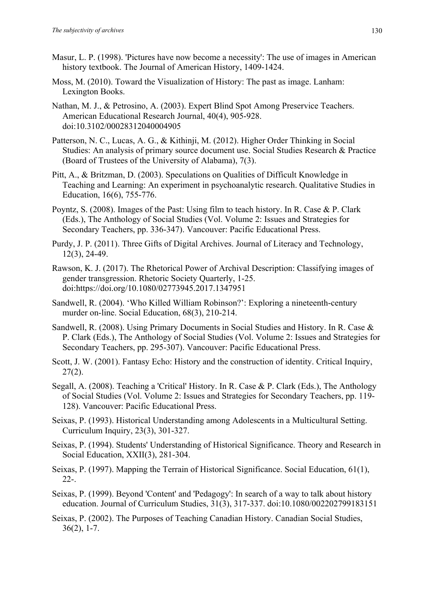- Masur, L. P. (1998). 'Pictures have now become a necessity': The use of images in American history textbook. The Journal of American History, 1409-1424.
- Moss, M. (2010). Toward the Visualization of History: The past as image. Lanham: Lexington Books.
- Nathan, M. J., & Petrosino, A. (2003). Expert Blind Spot Among Preservice Teachers. American Educational Research Journal, 40(4), 905-928. doi:10.3102/00028312040004905
- Patterson, N. C., Lucas, A. G., & Kithinji, M. (2012). Higher Order Thinking in Social Studies: An analysis of primary source document use. Social Studies Research & Practice (Board of Trustees of the University of Alabama), 7(3).
- Pitt, A., & Britzman, D. (2003). Speculations on Qualities of Difficult Knowledge in Teaching and Learning: An experiment in psychoanalytic research. Qualitative Studies in Education, 16(6), 755-776.
- Poyntz, S. (2008). Images of the Past: Using film to teach history. In R. Case & P. Clark (Eds.), The Anthology of Social Studies (Vol. Volume 2: Issues and Strategies for Secondary Teachers, pp. 336-347). Vancouver: Pacific Educational Press.
- Purdy, J. P. (2011). Three Gifts of Digital Archives. Journal of Literacy and Technology, 12(3), 24-49.
- Rawson, K. J. (2017). The Rhetorical Power of Archival Description: Classifying images of gender transgression. Rhetoric Society Quarterly, 1-25. doi:https://doi.org/10.1080/02773945.2017.1347951
- Sandwell, R. (2004). 'Who Killed William Robinson?': Exploring a nineteenth-century murder on-line. Social Education, 68(3), 210-214.
- Sandwell, R. (2008). Using Primary Documents in Social Studies and History. In R. Case & P. Clark (Eds.), The Anthology of Social Studies (Vol. Volume 2: Issues and Strategies for Secondary Teachers, pp. 295-307). Vancouver: Pacific Educational Press.
- Scott, J. W. (2001). Fantasy Echo: History and the construction of identity. Critical Inquiry, 27(2).
- Segall, A. (2008). Teaching a 'Critical' History. In R. Case & P. Clark (Eds.), The Anthology of Social Studies (Vol. Volume 2: Issues and Strategies for Secondary Teachers, pp. 119- 128). Vancouver: Pacific Educational Press.
- Seixas, P. (1993). Historical Understanding among Adolescents in a Multicultural Setting. Curriculum Inquiry, 23(3), 301-327.
- Seixas, P. (1994). Students' Understanding of Historical Significance. Theory and Research in Social Education, XXII(3), 281-304.
- Seixas, P. (1997). Mapping the Terrain of Historical Significance. Social Education, 61(1), 22-.
- Seixas, P. (1999). Beyond 'Content' and 'Pedagogy': In search of a way to talk about history education. Journal of Curriculum Studies, 31(3), 317-337. doi:10.1080/002202799183151
- Seixas, P. (2002). The Purposes of Teaching Canadian History. Canadian Social Studies, 36(2), 1-7.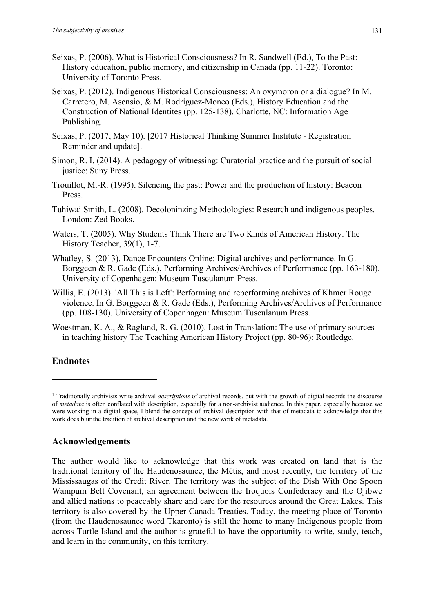- Seixas, P. (2006). What is Historical Consciousness? In R. Sandwell (Ed.), To the Past: History education, public memory, and citizenship in Canada (pp. 11-22). Toronto: University of Toronto Press.
- Seixas, P. (2012). Indigenous Historical Consciousness: An oxymoron or a dialogue? In M. Carretero, M. Asensio, & M. Rodríguez-Moneo (Eds.), History Education and the Construction of National Identites (pp. 125-138). Charlotte, NC: Information Age Publishing.
- Seixas, P. (2017, May 10). [2017 Historical Thinking Summer Institute Registration Reminder and update].
- Simon, R. I. (2014). A pedagogy of witnessing: Curatorial practice and the pursuit of social justice: Suny Press.
- Trouillot, M.-R. (1995). Silencing the past: Power and the production of history: Beacon Press.
- Tuhiwai Smith, L. (2008). Decoloninzing Methodologies: Research and indigenous peoples. London: Zed Books.
- Waters, T. (2005). Why Students Think There are Two Kinds of American History. The History Teacher, 39(1), 1-7.
- Whatley, S. (2013). Dance Encounters Online: Digital archives and performance. In G. Borggeen & R. Gade (Eds.), Performing Archives/Archives of Performance (pp. 163-180). University of Copenhagen: Museum Tusculanum Press.
- Willis, E. (2013). 'All This is Left': Performing and reperforming archives of Khmer Rouge violence. In G. Borggeen & R. Gade (Eds.), Performing Archives/Archives of Performance (pp. 108-130). University of Copenhagen: Museum Tusculanum Press.
- Woestman, K. A., & Ragland, R. G. (2010). Lost in Translation: The use of primary sources in teaching history The Teaching American History Project (pp. 80-96): Routledge.

#### **Endnotes**

#### **Acknowledgements**

<sup>1</sup> Traditionally archivists write archival *descriptions* of archival records, but with the growth of digital records the discourse of *metadata* is often conflated with description, especially for a non-archivist audience. In this paper, especially because we were working in a digital space, I blend the concept of archival description with that of metadata to acknowledge that this work does blur the tradition of archival description and the new work of metadata.

The author would like to acknowledge that this work was created on land that is the traditional territory of the Haudenosaunee, the Métis, and most recently, the territory of the Mississaugas of the Credit River. The territory was the subject of the Dish With One Spoon Wampum Belt Covenant, an agreement between the Iroquois Confederacy and the Ojibwe and allied nations to peaceably share and care for the resources around the Great Lakes. This territory is also covered by the Upper Canada Treaties. Today, the meeting place of Toronto (from the Haudenosaunee word Tkaronto) is still the home to many Indigenous people from across Turtle Island and the author is grateful to have the opportunity to write, study, teach, and learn in the community, on this territory.